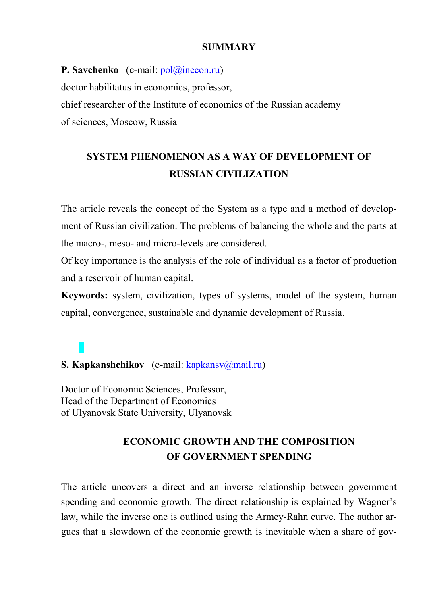#### **SUMMARY**

**P. Savchenko** (e-mail:  $\text{pol}(\widehat{a})$ inecon.ru) doctor habilitatus in economics, professor, chief researcher of the Institute of economics of the Russian academy of sciences, Moscow, Russia

# **SYSTEM PHENOMENON AS A WAY OF DEVELOPMENT OF RUSSIAN CIVILIZATION**

The article reveals the concept of the System as a type and a method of development of Russian civilization. The problems of balancing the whole and the parts at the macro-, meso- and micro-levels are considered.

Of key importance is the analysis of the role of individual as a factor of production and a reservoir of human capital.

**Keywords:** system, civilization, types of systems, model of the system, human capital, convergence, sustainable and dynamic development of Russia.

# **S. Kapkanshchikov** (e-mail: kapkansv@mail.ru)

Doctor of Economic Sciences, Professor, Head of the Department of Economics of Ulyanovsk State University, Ulyanovsk

### **ECONOMIC GROWTH AND THE COMPOSITION OF GOVERNMENT SPENDING**

The article uncovers a direct and an inverse relationship between government spending and economic growth. The direct relationship is explained by Wagner's law, while the inverse one is outlined using the Armey-Rahn curve. The author argues that a slowdown of the economic growth is inevitable when a share of gov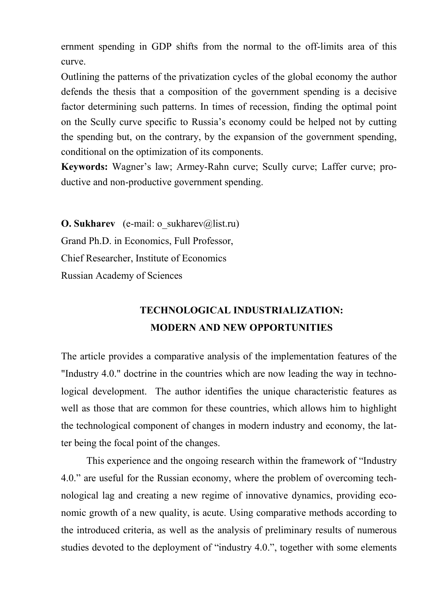ernment spending in GDP shifts from the normal to the off-limits area of this curve.

Outlining the patterns of the privatization cycles of the global economy the author defends the thesis that a composition of the government spending is a decisive factor determining such patterns. In times of recession, finding the optimal point on the Scully curve specific to Russia's economy could be helped not by cutting the spending but, on the contrary, by the expansion of the government spending, conditional on the optimization of its components.

**Keywords:** Wagner's law; Armey-Rahn curve; Scully curve; Laffer curve; productive and non-productive government spending.

**O. Sukharev** (e-mail: o\_sukharev@list.ru) Grand Ph.D. in Economics, Full Professor, Chief Researcher, Institute of Economics Russian Academy of Sciences

# **TECHNOLOGICAL INDUSTRIALIZATION: MODERN AND NEW OPPORTUNITIES**

The article provides a comparative analysis of the implementation features of the "Industry 4.0." doctrine in the countries which are now leading the way in technological development. The author identifies the unique characteristic features as well as those that are common for these countries, which allows him to highlight the technological component of changes in modern industry and economy, the latter being the focal point of the changes.

This experience and the ongoing research within the framework of "Industry 4.0." are useful for the Russian economy, where the problem of overcoming technological lag and creating a new regime of innovative dynamics, providing economic growth of a new quality, is acute. Using comparative methods according to the introduced criteria, as well as the analysis of preliminary results of numerous studies devoted to the deployment of "industry 4.0.", together with some elements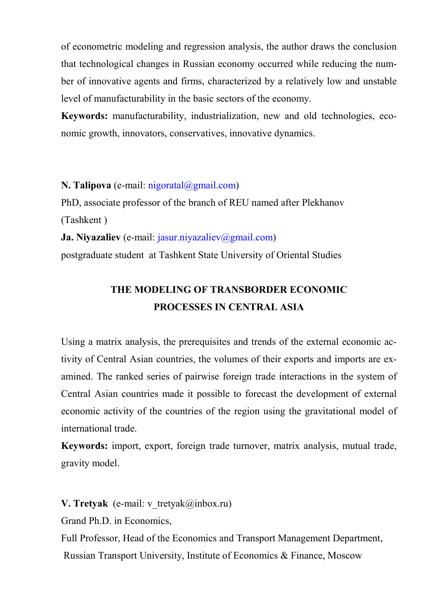of econometric modeling and regression analysis, the author draws the conclusion that technological changes in Russian economy occurred while reducing the number of innovative agents and firms, characterized by a relatively low and unstable level of manufacturability in the basic sectors of the economy.

**Keywords:** manufacturability, industrialization, new and old technologies, economic growth, innovators, conservatives, innovative dynamics.

**N. Talipova** (e-mail: nigoratal@gmail.com)

PhD, associate professor of the branch of REU named after Plekhanov (Tashkent ) **Ja. Niyazaliev** (e-mail: jasur.niyazaliev@gmail.com) postgraduate student at Tashkent State University of Oriental Studies

# **THE MODELING OF TRANSBORDER ECONOMIC PROCESSES IN CENTRAL ASIA**

Using a matrix analysis, the prerequisites and trends of the external economic activity of Central Asian countries, the volumes of their exports and imports are examined. The ranked series of pairwise foreign trade interactions in the system of Central Asian countries made it possible to forecast the development of external economic activity of the countries of the region using the gravitational model of international trade.

**Keywords:** import, export, foreign trade turnover, matrix analysis, mutual trade, gravity model.

**V. Tretyak** (e-mail: v tretyak $(\partial \text{inbox.ru})$ )

Grand Ph.D. in Economics,

Full Professor, Head of the Economics and Transport Management Department, Russian Transport University, Institute of Economics & Finance, Moscow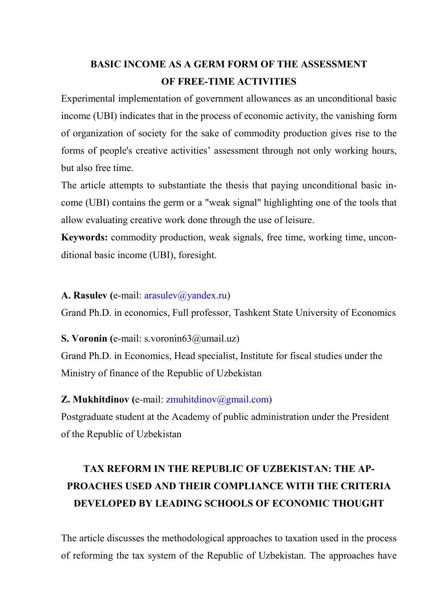# **BASIC INCOME AS A GERM FORM OF THE ASSESSMENT OF FREE-TIME ACTIVITIES**

Experimental implementation of government allowances as an unconditional basic income (UBI) indicates that in the process of economic activity, the vanishing form of organization of society for the sake of commodity production gives rise to the forms of people's creative activities' assessment through not only working hours, but also free time.

The article attempts to substantiate the thesis that paying unconditional basic income (UBI) contains the germ or a "weak signal" highlighting one of the tools that allow evaluating creative work done through the use of leisure.

**Keywords:** commodity production, weak signals, free time, working time, unconditional basic income (UBI), foresight.

#### A. Rasulev (e-mail: arasulev@yandex.ru)

Grand Ph.D. in economics, Full professor, Tashkent State University of Economics

#### **S. Voronin (**e-mail: s.voronin63@umail.uz)

Grand Ph.D. in Economics, Head specialist, Institute for fiscal studies under the Ministry of finance of the Republic of Uzbekistan

#### **Z. Mukhitdinov (e-mail: zmuhitdinov@gmail.com)**

Postgraduate student at the Academy of public administration under the President of the Republic of Uzbekistan

# **TAX REFORM IN THE REPUBLIC OF UZBEKISTAN: THE AP-PROACHES USED AND THEIR COMPLIANCE WITH THE CRITERIA DEVELOPED BY LEADING SCHOOLS OF ECONOMIC THOUGHT**

The article discusses the methodological approaches to taxation used in the process of reforming the tax system of the Republic of Uzbekistan. The approaches have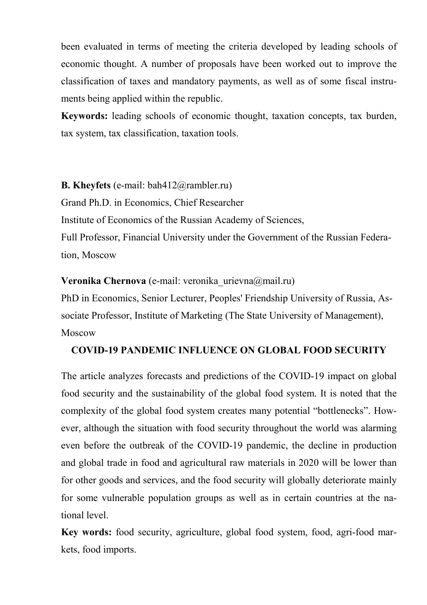been evaluated in terms of meeting the criteria developed by leading schools of economic thought. A number of proposals have been worked out to improve the classification of taxes and mandatory payments, as well as of some fiscal instruments being applied within the republic.

**Keywords:** leading schools of economic thought, taxation concepts, tax burden, tax system, tax classification, taxation tools.

**B. Kheyfets** (e-mail: bah412@rambler.ru)

Grand Ph.D. in Economics, Chief Researcher

Institute of Economics of the Russian Academy of Sciences,

Full Professor, Financial University under the Government of the Russian Federation, Moscow

**Veronika Chernova** (e-mail: veronika urievna@mail.ru)

PhD in Economics, Senior Lecturer, Peoples' Friendship University of Russia, Associate Professor, Institute of Marketing (The State University of Management), Moscow

#### **COVID-19 PANDEMIC INFLUENCE ON GLOBAL FOOD SECURITY**

The article analyzes forecasts and predictions of the COVID-19 impact on global food security and the sustainability of the global food system. It is noted that the complexity of the global food system creates many potential "bottlenecks". However, although the situation with food security throughout the world was alarming even before the outbreak of the COVID-19 pandemic, the decline in production and global trade in food and agricultural raw materials in 2020 will be lower than for other goods and services, and the food security will globally deteriorate mainly for some vulnerable population groups as well as in certain countries at the national level.

**Key words:** food security, agriculture, global food system, food, agri-food markets, food imports.